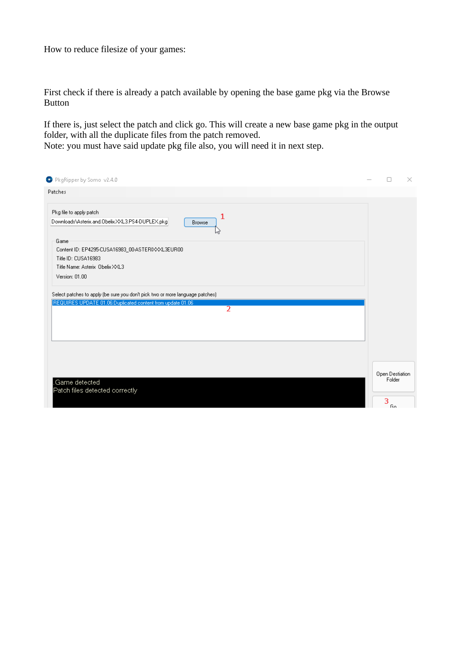How to reduce filesize of your games:

First check if there is already a patch available by opening the base game pkg via the Browse Button

If there is, just select the patch and click go. This will create a new base game pkg in the output folder, with all the duplicate files from the patch removed.

Note: you must have said update pkg file also, you will need it in next step.

| PkgRipper by Somo v2.4.0                                                      |                           | $\times$ |
|-------------------------------------------------------------------------------|---------------------------|----------|
| Patches                                                                       |                           |          |
| Pkg file to apply patch<br>1                                                  |                           |          |
| Downloads\Asterix.and.Obelix.XXL3.PS4-DUPLEX.pkg<br><b>Browse</b><br>N2       |                           |          |
| Game                                                                          |                           |          |
| Content ID: EP4295-CUSA16983_00-ASTERIXXXL3EUR00                              |                           |          |
| Title ID: CUSA16983<br>Title Name: Asterix Obelix XXL3                        |                           |          |
|                                                                               |                           |          |
| Version: 01.00                                                                |                           |          |
| Select patches to apply (be sure you don't pick two or more language patches) |                           |          |
| REQUIRES UPDATE 01.06:Duplicated content from update 01.06                    |                           |          |
| $\overline{2}$                                                                |                           |          |
|                                                                               |                           |          |
|                                                                               |                           |          |
|                                                                               |                           |          |
|                                                                               |                           |          |
|                                                                               |                           |          |
|                                                                               |                           |          |
|                                                                               | Open Destiation<br>Folder |          |
| Game detected                                                                 |                           |          |
| Patch files detected correctly                                                |                           |          |
|                                                                               | 3<br>Gо.                  |          |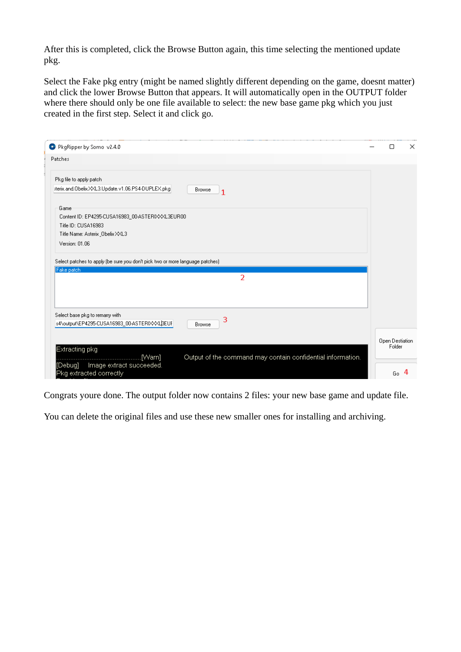After this is completed, click the Browse Button again, this time selecting the mentioned update pkg.

Select the Fake pkg entry (might be named slightly different depending on the game, doesnt matter) and click the lower Browse Button that appears. It will automatically open in the OUTPUT folder where there should only be one file available to select: the new base game pkg which you just created in the first step. Select it and click go.

| PkgRipper by Somo v2.4.0                                                                       | О               | $\times$ |
|------------------------------------------------------------------------------------------------|-----------------|----------|
| Patches                                                                                        |                 |          |
| Pkg file to apply patch                                                                        |                 |          |
| sterix.and.Obelix.XXL3.Update.v1.06.PS4-DUPLEX.pkg<br>Browse<br>1                              |                 |          |
| Game                                                                                           |                 |          |
| Content ID: EP4295-CUSA16983_00-ASTERIXXXL3EUR00                                               |                 |          |
| Title ID: CUSA16983                                                                            |                 |          |
| Title Name: Asterix Obelix XXL3                                                                |                 |          |
| Version: 01.06                                                                                 |                 |          |
| Fake patch<br>$\overline{2}$                                                                   |                 |          |
|                                                                                                |                 |          |
| Select base pkg to remarry with<br>3<br>s4\output\EP4295-CUSA16983_00-ASTERIXXXLBEUF<br>Browse |                 |          |
|                                                                                                | Open Destiation |          |
| Extracting pkg<br>Output of the command may contain confidential information.<br>[Warn]        | Folder          |          |
| Image extract succeeded.<br>[Debuq]<br>Pkg extracted correctly                                 | Go              | 4        |

Congrats youre done. The output folder now contains 2 files: your new base game and update file.

You can delete the original files and use these new smaller ones for installing and archiving.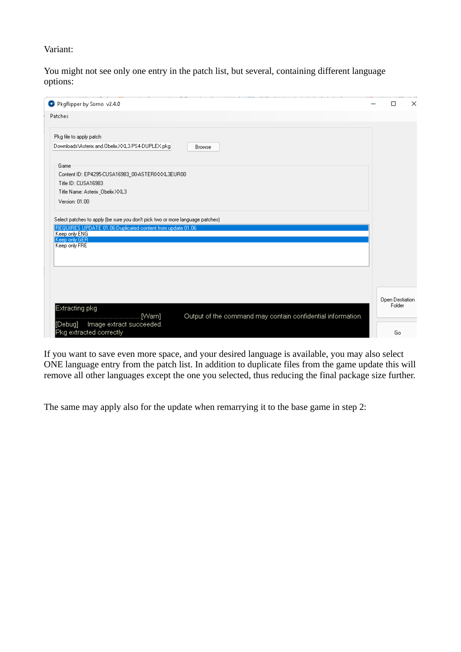Variant:

You might not see only one entry in the patch list, but several, containing different language options:

| PkgRipper by Somo v2.4.0                                                       |                                                             |                           |  |
|--------------------------------------------------------------------------------|-------------------------------------------------------------|---------------------------|--|
| Patches                                                                        |                                                             |                           |  |
| Pkg file to apply patch                                                        |                                                             |                           |  |
| Downloads\Asterix.and.Obelix.XXL3.PS4-DUPLEX.pkg                               | <b>Browse</b>                                               |                           |  |
| Game                                                                           |                                                             |                           |  |
| Content ID: EP4295-CUSA16983_00-ASTERIXXXL3EUR00                               |                                                             |                           |  |
| Title ID: CUSA16983                                                            |                                                             |                           |  |
| Title Name: Asterix Obelix XXL3                                                |                                                             |                           |  |
| Version: 01.00                                                                 |                                                             |                           |  |
|                                                                                |                                                             |                           |  |
| Select patches to apply (be sure you don't pick two or more language patches). |                                                             |                           |  |
| REQUIRES UPDATE 01.06:Duplicated content from update 01.06<br>Keep only ENG    |                                                             |                           |  |
| Keep only GER                                                                  |                                                             |                           |  |
| Keep only FRE                                                                  |                                                             |                           |  |
|                                                                                |                                                             |                           |  |
|                                                                                |                                                             |                           |  |
|                                                                                |                                                             |                           |  |
|                                                                                |                                                             |                           |  |
|                                                                                |                                                             |                           |  |
| Extracting pkg                                                                 |                                                             | Open Destiation<br>Folder |  |
| .[Warn]                                                                        | Output of the command may contain confidential information. |                           |  |
| Image extract succeeded.<br>[Debug]                                            |                                                             |                           |  |
| Pkg extracted correctly                                                        |                                                             | Go                        |  |

If you want to save even more space, and your desired language is available, you may also select ONE language entry from the patch list. In addition to duplicate files from the game update this will remove all other languages except the one you selected, thus reducing the final package size further.

The same may apply also for the update when remarrying it to the base game in step 2: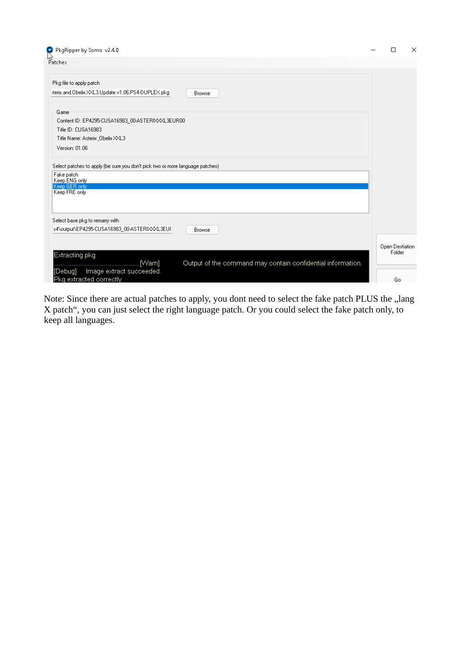| PkgRipper by Somo v2.4.0                                                                                                        | П               | × |
|---------------------------------------------------------------------------------------------------------------------------------|-----------------|---|
| しょ<br>Patches                                                                                                                   |                 |   |
| Pkg file to apply patch                                                                                                         |                 |   |
| sterix.and.Obelix.XXL3.Update.v1.06.PS4-DUPLEX.pkg<br><b>Browse</b>                                                             |                 |   |
| Game                                                                                                                            |                 |   |
| Content ID: EP4295-CUSA16983_00-ASTERIXXXL3EUR00                                                                                |                 |   |
| Title ID: CUSA16983                                                                                                             |                 |   |
| Title Name: Asterix Obelix XXL3                                                                                                 |                 |   |
| Version: 01.06                                                                                                                  |                 |   |
| Fake patch<br>Keep ENG only<br>Keep GER only<br>Keep FRE only                                                                   |                 |   |
| Select base pkg to remarry with                                                                                                 |                 |   |
| s4\output\EP4295-CUSA16983_00-ASTERIXXXL3EUF<br><b>Browse</b>                                                                   |                 |   |
|                                                                                                                                 | Open Destiation |   |
| Extracting pkg<br>Output of the command may contain confidential information.<br>.[Warn]<br>Image extract succeeded.<br>[Debug] | Folder          |   |
| Pka extracted correctly                                                                                                         | Go.             |   |

Note: Since there are actual patches to apply, you dont need to select the fake patch PLUS the "lang X patch", you can just select the right language patch. Or you could select the fake patch only, to keep all languages.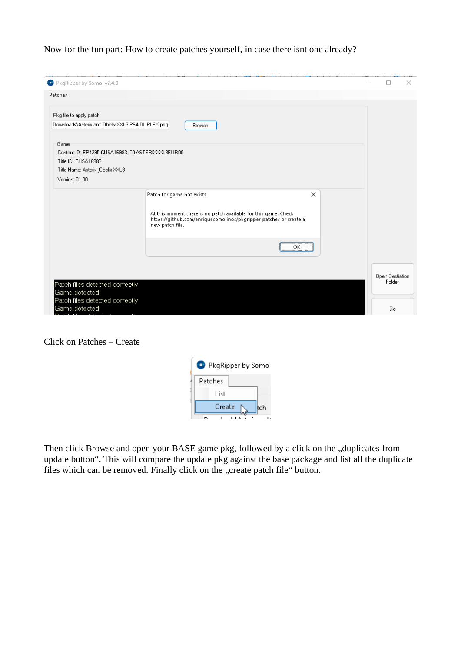Now for the fun part: How to create patches yourself, in case there isnt one already?

| PkgRipper by Somo v2.4.0                                                    |                                                                                                                                                         |     |                 | $\times$ |
|-----------------------------------------------------------------------------|---------------------------------------------------------------------------------------------------------------------------------------------------------|-----|-----------------|----------|
| Patches                                                                     |                                                                                                                                                         |     |                 |          |
| Pkg file to apply patch<br>Downloads\Asterix.and.Obelix.XXL3.PS4-DUPLEX.pkg | <b>Browse</b>                                                                                                                                           |     |                 |          |
| Game                                                                        |                                                                                                                                                         |     |                 |          |
| Content ID: EP4295-CUSA16983_00-ASTERIXXXL3EUR00<br>Title ID: CUSA16983     |                                                                                                                                                         |     |                 |          |
| Title Name: Asterix Obelix XXL3<br>Version: 01.00                           |                                                                                                                                                         |     |                 |          |
|                                                                             | Patch for game not exists                                                                                                                               | ×   |                 |          |
|                                                                             | At this moment there is no patch available for this game. Check<br>https://github.com/enriquesomolinos/pkgripper-patches or create a<br>new patch file. |     |                 |          |
|                                                                             |                                                                                                                                                         | OK. |                 |          |
|                                                                             |                                                                                                                                                         |     | Open Destiation |          |
| Patch files detected correctly<br>Game detected                             |                                                                                                                                                         |     | Folder          |          |
| Patch files detected correctly<br>Game detected                             |                                                                                                                                                         |     | Go              |          |

## Click on Patches – Create



Then click Browse and open your BASE game pkg, followed by a click on the "duplicates from update button". This will compare the update pkg against the base package and list all the duplicate files which can be removed. Finally click on the "create patch file" button.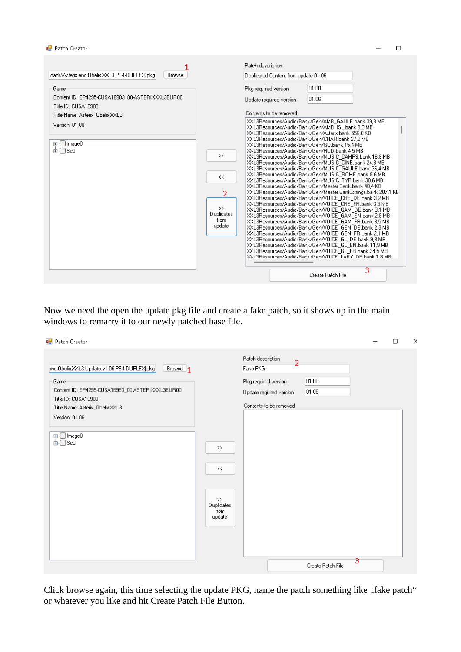|                                                                                                                                                                                                              |                               | Patch description                                                                                                                                                                                                                                                                                                                                                                                                                                                                                                                                                                                                                                                                                                                                                                                                                                                                                                                                                                          |                   |   |
|--------------------------------------------------------------------------------------------------------------------------------------------------------------------------------------------------------------|-------------------------------|--------------------------------------------------------------------------------------------------------------------------------------------------------------------------------------------------------------------------------------------------------------------------------------------------------------------------------------------------------------------------------------------------------------------------------------------------------------------------------------------------------------------------------------------------------------------------------------------------------------------------------------------------------------------------------------------------------------------------------------------------------------------------------------------------------------------------------------------------------------------------------------------------------------------------------------------------------------------------------------------|-------------------|---|
| Browse                                                                                                                                                                                                       |                               | Duplicated Content from update 01.06                                                                                                                                                                                                                                                                                                                                                                                                                                                                                                                                                                                                                                                                                                                                                                                                                                                                                                                                                       |                   |   |
| loads\Asterix.and.Obelix.XXL3.PS4-DUPLEX.pkg<br>Game<br>Content ID: EP4295-CUSA16983_00-ASTERIXXXL3EUR00<br>Title ID: CUSA16983<br>Title Name: Asterix Obelix XXL3<br>Version: 01.00<br>⊞- image0<br>ங்-∩Sc0 | $\rightarrow$<br><<<br>2<br>> | Pkg required version<br>Update required version<br>Contents to be removed<br>XXL3Resources/Audio/Bank/Gen/AMB_GAULE.bank 39,8 MB<br>XXL3Resources/Audio/Bank/Gen/AMB_ISL.bank 8,2 MB<br>XXL3Resources/Audio/Bank/Gen/Asterix.bank 556.8 KB<br>XXL3Resources/Audio/Bank/Gen/CHAR.bank 27.2 MB<br>XXL3Resources/Audio/Bank/Gen/GO.bank 15.4 MB<br>XXL3Resources/Audio/Bank/Gen/HUD.bank 4.5 MB<br>XXL3Resources/Audio/Bank/Gen/MUSIC_CAMPS.bank 16,8 MB<br>XXL3Resources/Audio/Bank/Gen/MUSIC_CINE.bank 24,8 MB<br>XXL3Resources/Audio/Bank/Gen/MUSIC_GAULE.bank 36,4 MB<br>XXL3Resources/Audio/Bank/Gen/MUSIC_ROME.bank 8,6 MB<br>XXL3Resources/Audio/Bank/Gen/MUSIC TYR.bank 30,6 MB<br>XXL3Resources/Audio/Bank/Gen/Master Bank.bank 40.4 KB<br>XXL3Resources/Audio/Bank/Gen/Master Bank.strings.bank 207,1 KE<br>XXL3Resources/Audio/Bank/Gen/VOICE_CRE_DE.bank 3.2 MB<br>XXL3Resources/Audio/Bank/Gen/VOICE CRE FR.bank 3,3 MB<br>XXL3Resources/Audio/Bank/Gen/VOICE GAM DE.bank 3,1 MB | 01.00<br>01.06    |   |
|                                                                                                                                                                                                              | Duplicates<br>from<br>update  | XXL3Resources/Audio/Bank/Gen/VOICE_GAM_EN.bank 2,8 MB<br>XXL3Resources/Audio/Bank/Gen/VOICE_GAM_FR.bank 3,5 MB<br>XXL3Resources/Audio/Bank/Gen/VOICE_GEN_DE.bank 2,3 MB<br>XXL3Resources/Audio/Bank/Gen/VOICE_GEN_FR.bank 2,1 MB<br>XXL3Resources/Audio/Bank/Gen/VOICE_GL_DE.bank 9.3 MB<br>XXL3Resources/Audio/Bank/Gen/VOICE_GL_EN.bank 11.9 MB<br>XXL3Resources/Audio/Bank/Gen/VOICE_GL_FR.bank 24.5 MB<br>XXL3Besources/Audio/Bank/Gen/VOICE_LARY_DE.hank 1.8 MB                                                                                                                                                                                                                                                                                                                                                                                                                                                                                                                       | Create Patch File | 3 |

Now we need the open the update pkg file and create a fake patch, so it shows up in the main windows to remarry it to our newly patched base file.

| Patch Creator                                                                                                                                                                                                                     |                                                                        |                                                                                                                              |                   |                           | □ | $\times$ |
|-----------------------------------------------------------------------------------------------------------------------------------------------------------------------------------------------------------------------------------|------------------------------------------------------------------------|------------------------------------------------------------------------------------------------------------------------------|-------------------|---------------------------|---|----------|
| ind.Obelix.XXL3.Update.v1.06.PS4-DUPLEX pkg<br>Browse <sub>1</sub><br>Game<br>Content ID: EP4295-CUSA16983_00-ASTERIXXXL3EUR00<br>Title ID: CUSA16983<br>Title Name: Asterix _Obelix XXL3<br>Version: 01.06<br>⊕∙□Image0<br>⊕⊡sc0 | $\rightarrow$<br>$<<$<br>$\rightarrow$<br>Duplicates<br>from<br>update | Patch description<br>$\overline{2}$<br>Fake PKG<br>Pkg required version<br>Update required version<br>Contents to be removed | 01.06<br>01.06    |                           |   |          |
|                                                                                                                                                                                                                                   |                                                                        |                                                                                                                              | Create Patch File | $\overline{\overline{3}}$ |   |          |

Click browse again, this time selecting the update PKG, name the patch something like "fake patch" or whatever you like and hit Create Patch File Button.

 $\Box$ 

 $\overline{a}$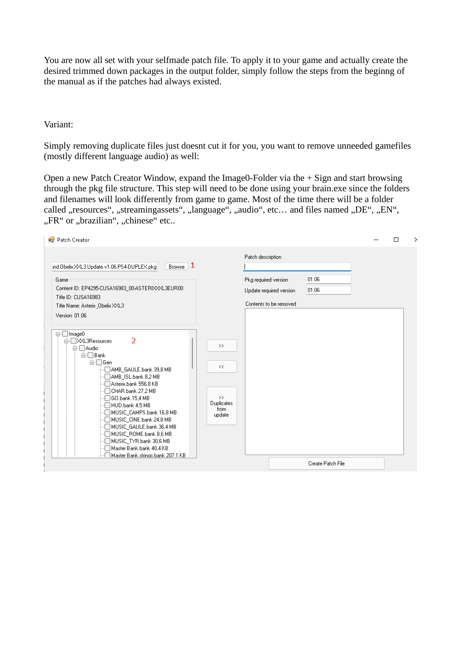You are now all set with your selfmade patch file. To apply it to your game and actually create the desired trimmed down packages in the output folder, simply follow the steps from the beginng of the manual as if the patches had always existed.

Variant:

Simply removing duplicate files just doesnt cut it for you, you want to remove unneeded gamefiles (mostly different language audio) as well:

Open a new Patch Creator Window, expand the Image0-Folder via the + Sign and start browsing through the pkg file structure. This step will need to be done using your brain.exe since the folders and filenames will look differently from game to game. Most of the time there will be a folder called "resources", "streamingassets", "language", "audio", etc... and files named "DE", "EN", "FR" or "brazilian", "chinese" etc..

| <b>Patch Creator</b>                                                                                                                                                                                                                                                                                                                                                                                                                                                                                                                                                                                                                            |                                                              |                                                                                                |                   | п | ⋋ |
|-------------------------------------------------------------------------------------------------------------------------------------------------------------------------------------------------------------------------------------------------------------------------------------------------------------------------------------------------------------------------------------------------------------------------------------------------------------------------------------------------------------------------------------------------------------------------------------------------------------------------------------------------|--------------------------------------------------------------|------------------------------------------------------------------------------------------------|-------------------|---|---|
| Browse $ 1$<br>ind.Obelix.XXL3.Update.v1.06.PS4-DUPLEX.pkg<br>Game<br>Content ID: EP4295-CUSA16983_00-ASTERIXXXL3EUR00<br>Title ID: CUSA16983<br>Title Name: Asterix Obelix XXL3<br>Version: 01.06<br>⊟∙□Image0<br>$\overline{2}$<br><b>E</b> -□× L3Resources<br>⊟ Audio<br>⊟∙□ Bank<br>⊟⊢⊡ Gen<br>AMB_GAULE.bank 39,8 MB<br>AMB_ISL.bank 8,2 MB<br>Asterix.bank 556,8 KB<br>CHAR.bank 27,2 MB<br>GO.bank 15.4 MB<br>HUD.bank 4,5 MB<br>]MUSIC_CAMPS.bank 16,8 MB<br>MUSIC_CINE.bank 24,8 MB<br>MUSIC GAULE.bank 36,4 MB<br>MUSIC_ROME.bank 8,6 MB<br>MUSIC_TYR.bank 30,6 MB<br>Master Bank.bank 40.4 KB<br>Master Bank, strings, bank 207,1 KB | $\,>$<br><<<br>$\rightarrow$<br>Duplicates<br>from<br>update | Patch description<br>Pkg required version<br>Update required version<br>Contents to be removed | 01.06<br>01.06    |   |   |
|                                                                                                                                                                                                                                                                                                                                                                                                                                                                                                                                                                                                                                                 |                                                              |                                                                                                | Create Patch File |   |   |